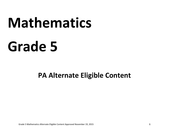# **Mathematics**

# **Grade 5**

**PA Alternate Eligible Content** 

Grade 5 Mathematics Alternate Eligible Content Approved November 19, 2015 **1**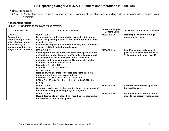# **PA Reporting Category: M05.A-T Numbers and Operations in Base Ten**

#### **PA Core Standards:**

CC.2.1.5.B.1 Apply place‐value concepts to show an understanding of operations and rounding as they pertain to whole numbers and decimals.

#### **Assessment Anchor**

M05.A-T.1 Understand the place-value system.

| <b>DESCRIPTOR</b>                                                                                                                                              | <b>ELIGIBLE CONTENT</b>                                                                                                                                                                                                                                                                                                                                                          | <b>Alternate Eligible</b><br><b>Content Code</b> | <b>ALTERNATE ELIGIBLE CONTENT</b>                                                                       |
|----------------------------------------------------------------------------------------------------------------------------------------------------------------|----------------------------------------------------------------------------------------------------------------------------------------------------------------------------------------------------------------------------------------------------------------------------------------------------------------------------------------------------------------------------------|--------------------------------------------------|---------------------------------------------------------------------------------------------------------|
| M05.A-T.1.1<br><b>Demonstrate</b><br>understanding of place-<br>value of whole numbers<br>and decimals, and<br>compare quantities or<br>magnitudes of numbers. | M05.A-T.1.1.1<br>Demonstrate an understanding that in a multi-digit number, a<br>digit in one place represents 1/10 of what it represents in the<br>place to its left.<br>Example: Recognize that in the number 770, the 7 in the tens<br>place is 1/10 the 7 in the hundreds place.                                                                                             | M05AT1.1.1a                                      | Identify place value in a 3-digit<br>number using models                                                |
|                                                                                                                                                                | M05.A-T.1.1.2<br>Explain patterns in the number of zeros of the product when<br>multiplying a number by powers of 10 and explain patterns in<br>the placement of the decimal point when a decimal is<br>multiplied or divided by a power of 10. Use whole-number<br>exponents to denote powers of 10.<br>Example 1: $4 \times 10^2 = 400$<br>Example 2: $0.05 \div 10$ = 0.00005 | M05AT1.1.2a                                      | Identify a pattern and change in<br>place value when a number up to<br>99 is multiplied by powers of 10 |
|                                                                                                                                                                | M05.A-T.1.1.3<br>Read and write decimals to thousandths using base-ten<br>numerals, word form, and expanded form.<br>Example: $347.392 = 300 + 40 + 7 + 0.3 + 0.09 +$<br>$0.002 = 3 \times 100 + 4 \times 10 + 7 \times 1 + 3 \times (0.1) + 9 \times (0.01) + 2 \times$<br>(0.001)                                                                                              |                                                  |                                                                                                         |
|                                                                                                                                                                | M05.A-T.1.1.4<br>Compare two decimals to thousandths based on meanings of<br>the digits in each place using $>$ , $=$ , and $<$ symbols.                                                                                                                                                                                                                                         | M05AT1.1.4a                                      | Compare two numbers up to the<br>hundredths place                                                       |
|                                                                                                                                                                | M05.A-T.1.1.5<br>Round decimals to any place (limit rounding to ones, tenths,<br>hundredths, or thousandths place).                                                                                                                                                                                                                                                              | M05AT1.1.5a                                      | Round a decimal from the tenths<br>place to the nearest whole number                                    |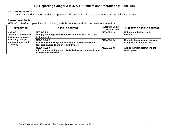# **PA Reporting Category: M05.A-T Numbers and Operations in Base Ten**

#### **PA Core Standards:**

CC.2.1.5.B.2 Extend an understanding of operations with whole numbers to perform operations including decimals.

#### **Assessment Anchor**

M05.A-T.2 Perform operations with multi-digit whole numbers and with decimals to hundredths.

| <b>DESCRIPTOR</b>                                           | <b>ELIGIBLE CONTENT</b>                                                                                                  | <b>Alternate Eligible</b><br><b>Content Code</b> | <b>ALTERNATE ELIGIBLE CONTENT</b>                                 |
|-------------------------------------------------------------|--------------------------------------------------------------------------------------------------------------------------|--------------------------------------------------|-------------------------------------------------------------------|
| M05.A-T.2.1<br>Use whole numbers and<br>decimals to compute | M05.A-T.2.1.1<br>Multiply multi-digit whole numbers (not to exceed three-digit<br>by three-digit).                       | M05AT2.1.1a                                      | <b>Multiply single-digit whole</b><br>numbers                     |
| accurately (straight<br>computation or word<br>problems).   | M05.A-T.2.1.2<br>Find whole-number quotients of whole numbers with up to<br>four-digit dividends and two-digit divisors. | M05AT2.1.2a                                      | Illustrate the concept of division<br>using fair and equal shares |
|                                                             | M05.A-T.2.1.3<br>Add, subtract, multiply, and divide decimals to hundredths (no<br>divisors with decimals).              | M05AT2.1.3a                                      | Add or subtract decimals to the<br>tenths place                   |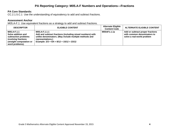# **PA Reporting Category: M05.A-F Numbers and Operations—Fractions**

#### **PA Core Standards:**

CC.2.1.5.C.1 Use the understanding of equivalency to add and subtract fractions.

#### **Assessment Anchor**

M05.A-F.1 Use equivalent fractions as a strategy to add and subtract fractions.

| <b>DESCRIPTOR</b>                                                                                                               | <b>ELIGIBLE CONTENT</b>                                                                                                                                                                                  | <b>Alternate Eligible</b><br><b>Content Code</b> | <b>ALTERNATE ELIGIBLE CONTENT</b>                                                             |
|---------------------------------------------------------------------------------------------------------------------------------|----------------------------------------------------------------------------------------------------------------------------------------------------------------------------------------------------------|--------------------------------------------------|-----------------------------------------------------------------------------------------------|
| M05.A-F.1.1<br>Solve addition and<br>subtraction problems<br>involving fractions<br>(straight computation or<br>word problems). | M05.A-F.1.1.1<br>Add and subtract fractions (including mixed numbers) with<br>unlike denominators. (May include multiple methods and<br>representations.)<br>Example: $2/3 + 5/4 = 8/12 + 15/12 = 23/12$ | M05AF1.1.1a                                      | Add or subtract proper fractions<br>with common denominators to<br>solve a real-world problem |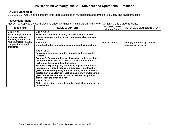# **PA Reporting Category: M05.A-F Numbers and Operations—Fractions**

#### **PA Core Standards:**

CC.2.1.5.C.2 Apply and extend previous understandings of multiplication and division to multiply and divide fractions.

#### **Assessment Anchor**

M05.A-F.2 Apply and extend previous understandings of multiplication and division to multiply and divide fractions.

| <b>DESCRIPTOR</b>                                                                       | <b>ELIGIBLE CONTENT</b>                                                                                                                                                                                                                                                                                                                                                                                                                                                                                                                                                                                                                                                                                                                  | <b>Alternate Eligible</b><br><b>Content Code</b> | <b>ALTERNATE ELIGIBLE CONTENT</b>                     |
|-----------------------------------------------------------------------------------------|------------------------------------------------------------------------------------------------------------------------------------------------------------------------------------------------------------------------------------------------------------------------------------------------------------------------------------------------------------------------------------------------------------------------------------------------------------------------------------------------------------------------------------------------------------------------------------------------------------------------------------------------------------------------------------------------------------------------------------------|--------------------------------------------------|-------------------------------------------------------|
| M05.A-F.2.1<br>Solve multiplication and<br>division problems<br>involving fractions and | M05.A-F.2.1.1<br>Solve word problems involving division of whole numbers<br>leading to answers in the form of fractions (including mixed<br>numbers).                                                                                                                                                                                                                                                                                                                                                                                                                                                                                                                                                                                    |                                                  |                                                       |
| whole numbers (straight<br>computation or word<br>problems).                            | M05.A-F.2.1.2<br>Multiply a fraction (including mixed numbers) by a fraction.                                                                                                                                                                                                                                                                                                                                                                                                                                                                                                                                                                                                                                                            | M05.AF.2.1.2.a                                   | Multiply a fraction by a whole<br>number less than 10 |
|                                                                                         | M05.A-F.2.1.3<br>Demonstrate an understanding of multiplication as scaling<br>(resizing).<br>Example 1: Comparing the size of a product to the size of one<br>factor on the basis of the size of the other factor without<br>performing the indicated multiplication.<br>Example 2: Explaining why multiplying a given number by a<br>fraction greater than 1 results in a product greater than the<br>given number (recognizing multiplication by whole numbers<br>greater than 1 as a familiar case); explaining why multiplying a<br>given number by a fraction less than 1 results in a product<br>smaller than the given number.<br>M05.A-F.2.1.4<br>Divide unit fractions by whole numbers and whole numbers by<br>unit fractions. |                                                  |                                                       |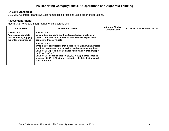# **PA Reporting Category: M05.B-O Operations and Algebraic Thinking**

#### **PA Core Standards:**

CC.2.2.5.A.1 Interpret and evaluate numerical expressions using order of operations.

#### **Assessment Anchor**

M05.B-O.1 Write and interpret numerical expressions.

| <b>DESCRIPTOR</b>                                                                          | <b>ELIGIBLE CONTENT</b>                                                                                                                                                                                                                                                                                                                                                                                          | <b>Alternate Eligible</b><br><b>Content Code</b> | <b>ALTERNATE ELIGIBLE CONTENT</b> |
|--------------------------------------------------------------------------------------------|------------------------------------------------------------------------------------------------------------------------------------------------------------------------------------------------------------------------------------------------------------------------------------------------------------------------------------------------------------------------------------------------------------------|--------------------------------------------------|-----------------------------------|
| M05.B-O.1.1<br>Analyze and complete<br>calculations by applying<br>the order of operations | M05.B-O.1.1.1<br>Use multiple grouping symbols (parentheses, brackets, or<br>braces) in numerical expressions and evaluate expressions<br>containing these symbols.                                                                                                                                                                                                                                              |                                                  |                                   |
|                                                                                            | M05.B-O.1.1.2<br>Write simple expressions that model calculations with numbers<br>and interpret numerical expressions without evaluating them.<br>Example 1: Express the calculation "add 8 and 7, then multiply<br>by 2" as $2 \times (8 + 7)$ .<br>Example 2: Recognize that $3 \times (18,932 + 921)$ is three times as<br>large as 18,932 + 921 without having to calculate the indicated<br>sum or product. |                                                  |                                   |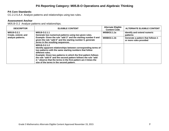# **PA Reporting Category: M05.B-O Operations and Algebraic Thinking**

#### **PA Core Standards:**

CC.2.2.5.A.4 Analyze patterns and relationships using two rules.

#### **Assessment Anchor**

M05.B-O.2 Analyze patterns and relationships.

| <b>DESCRIPTOR</b>                  | <b>ELIGIBLE CONTENT</b>                                                                                                                                                                                                                                                                                                                                                                                          | <b>Alternate Eligible</b><br><b>Content Code</b> | <b>ALTERNATE ELIGIBLE CONTENT</b>                           |
|------------------------------------|------------------------------------------------------------------------------------------------------------------------------------------------------------------------------------------------------------------------------------------------------------------------------------------------------------------------------------------------------------------------------------------------------------------|--------------------------------------------------|-------------------------------------------------------------|
| M05.B-O.2.1<br>Create, extend, and | M05.B-O.2.1.1<br>Generate two numerical patterns using two given rules.                                                                                                                                                                                                                                                                                                                                          | M05BO2.1.1a                                      | Identify and extend numeric<br>patterns                     |
| analyze patterns.                  | Example: Given the rule "add 3" and the starting number 0 and<br>given the rule "add 6" and the starting number 0, generate<br>terms in the resulting sequences.                                                                                                                                                                                                                                                 | M05BO2.1.1b                                      | Generate a pattern that follows 1<br>or more rules provided |
|                                    | M05.B-O.2.1.2<br>Identify apparent relationships between corresponding terms of<br>two patterns with the same starting numbers that follow<br>different rules.<br>Example: Given two patterns in which the first pattern follows<br>the rule "add 8" and the second pattern follows the rule "add<br>2," observe that the terms in the first pattern are 4 times the<br>size of the terms in the second pattern. |                                                  |                                                             |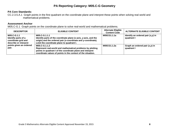# **PA Reporting Category: M05.C-G Geometry**

#### **PA Core Standards:**

CC.2.3.5.A.1 Graph points in the first quadrant on the coordinate plane and interpret these points when solving real world and mathematical problems.

#### **Assessment Anchor**

M05.C-G.1 Graph points on the coordinate plane to solve real-world and mathematical problems.

| <b>DESCRIPTOR</b>                                                                                                      | <b>ELIGIBLE CONTENT</b>                                                                                                                                                                                   | <b>Alternate Eligible</b><br><b>Content Code</b> | <b>ALTERNATE ELIGIBLE CONTENT</b>                  |
|------------------------------------------------------------------------------------------------------------------------|-----------------------------------------------------------------------------------------------------------------------------------------------------------------------------------------------------------|--------------------------------------------------|----------------------------------------------------|
| M05.C-G.1.1<br>Identify parts of a<br>coordinate grid and<br>describe or interpret<br>points given an ordered<br>pair. | M05.C-G.1.1.1<br>Identify parts of the coordinate plane (x-axis, y-axis, and the<br>origin) and the ordered pair (x-coordinate and y-coordinate).<br>Limit the coordinate plane to quadrant I.            | M05CG1.1.1a                                      | Identify an ordered pair $(x, y)$ in<br>quadrant I |
|                                                                                                                        | M05.C-G.1.1.2<br>Represent real-world and mathematical problems by plotting<br>points in quadrant I of the coordinate plane and interpret<br>coordinate values of points in the context of the situation. | M05CG1.1.2a                                      | Graph an ordered pair $(x, y)$ in<br>quadrant I    |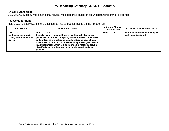# **PA Reporting Category: M05.C-G Geometry**

#### **PA Core Standards:**

CC.2.3.5.A.2 Classify two‐dimensional figures into categories based on an understanding of their properties.

#### **Assessment Anchor**

M05.C-G.2 Classify two-dimensional figures into categories based on their properties.

| <b>DESCRIPTOR</b>                                                              | <b>ELIGIBLE CONTENT</b>                                                                                                                                                                                                                                                                                                                                                                                                 | <b>Alternate Eligible</b><br><b>Content Code</b> | <b>ALTERNATE ELIGIBLE CONTENT</b>                             |
|--------------------------------------------------------------------------------|-------------------------------------------------------------------------------------------------------------------------------------------------------------------------------------------------------------------------------------------------------------------------------------------------------------------------------------------------------------------------------------------------------------------------|--------------------------------------------------|---------------------------------------------------------------|
| M05.C-G.2.1<br>Use basic properties to<br>classify two-dimensional<br>figures. | M05.C-G.2.1.1<br>Classify two-dimensional figures in a hierarchy based on<br>properties. Example 1: All polygons have at least three sides,<br>and pentagons are polygons, so all pentagons have at least<br>three sides. Example 2: A rectangle is a parallelogram, which<br>is a quadrilateral, which is a polygon; so, a rectangle can be<br>classified as a parallelogram, as a quadrilateral, and as a<br>polygon. | M05CG2.1.1a                                      | Identify a two-dimensional figure<br>with specific attributes |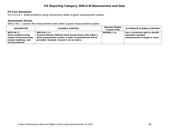# **PA Reporting Category: M05.D-M Measurement and Data**

#### **PA Core Standards:**

CC.2.4.5.A.1 Solve problems using conversions within a given measurement system.

#### **Assessment Anchor**

M05.D-M.1 Convert like measurement units within a given measurement system.

| <b>DESCRIPTOR</b>                                                                                              | <b>ELIGIBLE CONTENT</b>                                                                                                                                                                 | <b>Alternate Eligible</b><br><b>Content Code</b> | <b>ALTERNATE ELIGIBLE CONTENT</b>                                                           |
|----------------------------------------------------------------------------------------------------------------|-----------------------------------------------------------------------------------------------------------------------------------------------------------------------------------------|--------------------------------------------------|---------------------------------------------------------------------------------------------|
| M05.D-M.1.1<br>Solve problems using<br>simple conversions (may<br>include multistep, real-<br>world problems). | M05.D-M.1.1.1<br>Convert between different-sized measurement units within a<br>given measurement system. A table of equivalencies will be<br>provided. Example: Convert 5 cm to meters. | M05DM1.1.1a                                      | Use a conversion table to identify<br>equivalent standard<br>measurements of length or mass |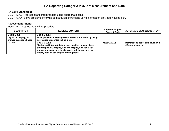# **PA Reporting Category: M05.D-M Measurement and Data**

#### **PA Core Standards:**

CC.2.4.5.A.2 Represent and interpret data using appropriate scale. CC.2.4.5.A.4 Solve problems involving computation of fractions using information provided in a line plot.

#### **Assessment Anchor**

M05.D-M.2 Represent and interpret data.

| <b>DESCRIPTOR</b>                                               | <b>ELIGIBLE CONTENT</b>                                                                                                                                                                                                                                | <b>Alternate Eligible</b><br><b>Content Code</b> | <b>ALTERNATE ELIGIBLE CONTENT</b>                          |
|-----------------------------------------------------------------|--------------------------------------------------------------------------------------------------------------------------------------------------------------------------------------------------------------------------------------------------------|--------------------------------------------------|------------------------------------------------------------|
| M05.D-M.2.1<br>Organize, display, and<br>answer questions based | M05.D-M.2.1.1<br>Solve problems involving computation of fractions by using<br>information presented in line plots.                                                                                                                                    |                                                  |                                                            |
| on data.                                                        | M05.D-M.2.1.2<br>Display and interpret data shown in tallies, tables, charts,<br>pictographs, bar graphs, and line graphs, and use a title,<br>appropriate scale, and labels. A grid will be provided to<br>display data on bar graphs or line graphs. | M05DM2.1.2a                                      | Interpret one set of data given in 2<br>different displays |